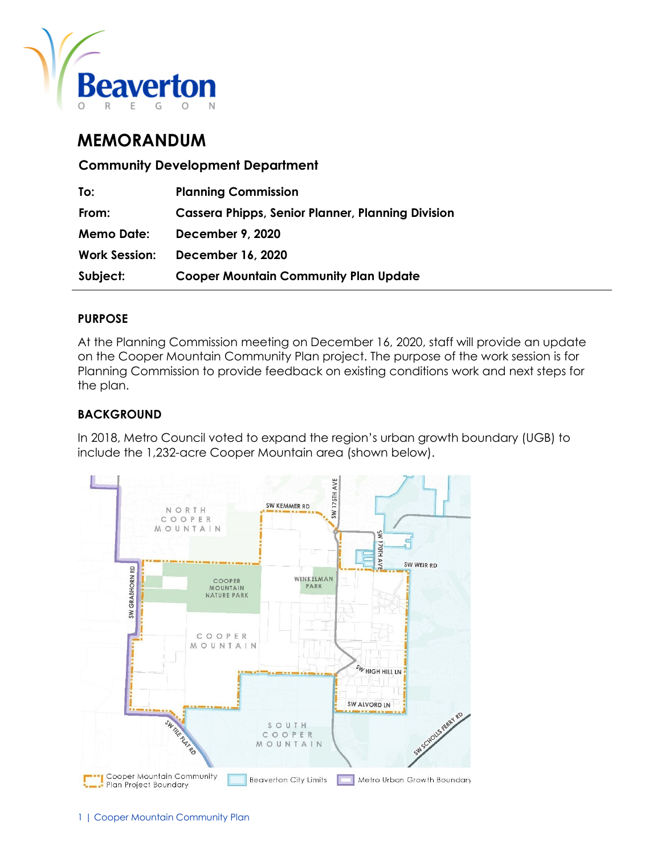

# **MEMORANDUM**

**Community Development Department**

| To:                  | <b>Planning Commission</b>                               |
|----------------------|----------------------------------------------------------|
| From:                | <b>Cassera Phipps, Senior Planner, Planning Division</b> |
| <b>Memo Date:</b>    | <b>December 9, 2020</b>                                  |
| <b>Work Session:</b> | December 16, 2020                                        |
| Subject:             | <b>Cooper Mountain Community Plan Update</b>             |

#### **PURPOSE**

At the Planning Commission meeting on December 16, 2020, staff will provide an update on the Cooper Mountain Community Plan project. The purpose of the work session is for Planning Commission to provide feedback on existing conditions work and next steps for the plan.

#### **BACKGROUND**

In 2018, Metro Council voted to expand the region's urban growth boundary (UGB) to include the 1,232-acre Cooper Mountain area (shown below).

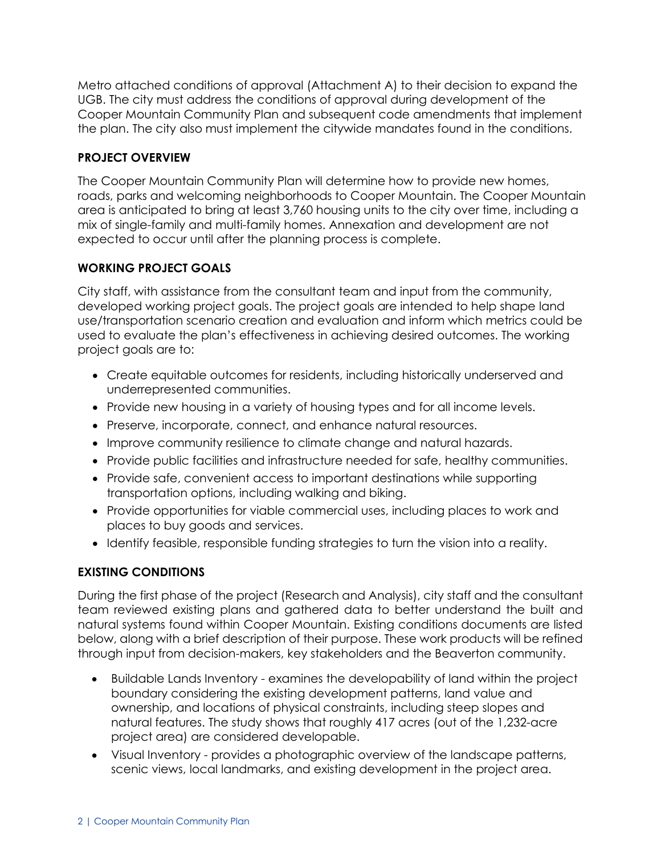Metro attached conditions of approval (Attachment A) to their decision to expand the UGB. The city must address the conditions of approval during development of the Cooper Mountain Community Plan and subsequent code amendments that implement the plan. The city also must implement the citywide mandates found in the conditions.

#### **PROJECT OVERVIEW**

The Cooper Mountain Community Plan will determine how to provide new homes, roads, parks and welcoming neighborhoods to Cooper Mountain. The Cooper Mountain area is anticipated to bring at least 3,760 housing units to the city over time, including a mix of single-family and multi-family homes. Annexation and development are not expected to occur until after the planning process is complete.

#### **WORKING PROJECT GOALS**

City staff, with assistance from the consultant team and input from the community, developed working project goals. The project goals are intended to help shape land use/transportation scenario creation and evaluation and inform which metrics could be used to evaluate the plan's effectiveness in achieving desired outcomes. The working project goals are to:

- Create equitable outcomes for residents, including historically underserved and underrepresented communities.
- Provide new housing in a variety of housing types and for all income levels.
- Preserve, incorporate, connect, and enhance natural resources.
- Improve community resilience to climate change and natural hazards.
- Provide public facilities and infrastructure needed for safe, healthy communities.
- Provide safe, convenient access to important destinations while supporting transportation options, including walking and biking.
- Provide opportunities for viable commercial uses, including places to work and places to buy goods and services.
- Identify feasible, responsible funding strategies to turn the vision into a reality.

## **EXISTING CONDITIONS**

During the first phase of the project (Research and Analysis), city staff and the consultant team reviewed existing plans and gathered data to better understand the built and natural systems found within Cooper Mountain. Existing conditions documents are listed below, along with a brief description of their purpose. These work products will be refined through input from decision-makers, key stakeholders and the Beaverton community.

- Buildable Lands Inventory examines the developability of land within the project boundary considering the existing development patterns, land value and ownership, and locations of physical constraints, including steep slopes and natural features. The study shows that roughly 417 acres (out of the 1,232-acre project area) are considered developable.
- Visual Inventory provides a photographic overview of the landscape patterns, scenic views, local landmarks, and existing development in the project area.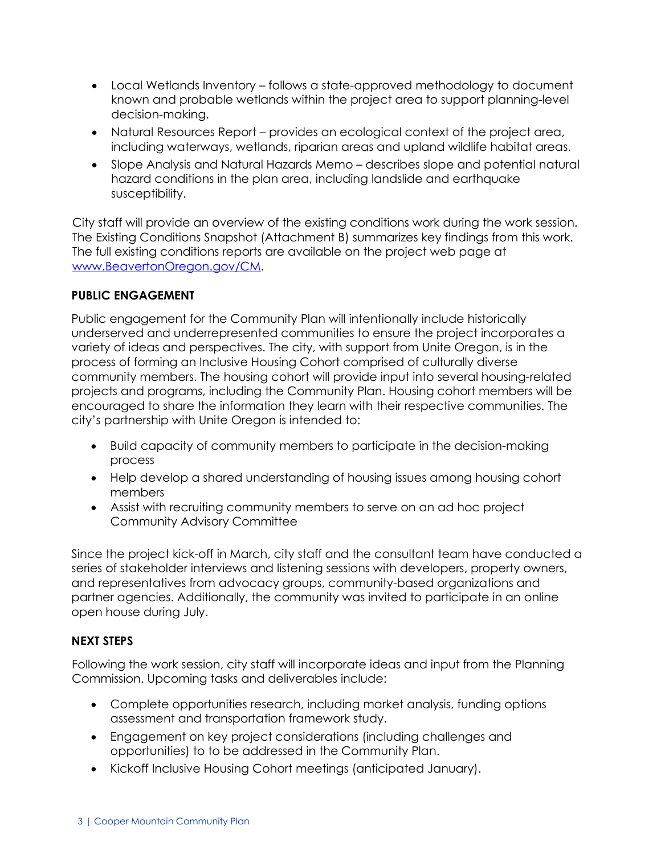- Local Wetlands Inventory follows a state-approved methodology to document known and probable wetlands within the project area to support planning-level decision-making.
- Natural Resources Report provides an ecological context of the project area, including waterways, wetlands, riparian areas and upland wildlife habitat areas.
- Slope Analysis and Natural Hazards Memo describes slope and potential natural hazard conditions in the plan area, including landslide and earthquake susceptibility.

City staff will provide an overview of the existing conditions work during the work session. The Existing Conditions Snapshot (Attachment B) summarizes key findings from this work. The full existing conditions reports are available on the project web page at [www.BeavertonOregon.gov/CM.](file://COBNAS2/CDD$/CDD%20Long%20Range%20Planning%20(WG-52)/Projects%20(FC-13-228)/2019%20Cooper%20Mountain%20Community%20Plan/0.%20Public%20Involvement/Planning%20Commission/Work%20session_12.16.20/www.BeavertonOregon.gov/CM)

#### **PUBLIC ENGAGEMENT**

Public engagement for the Community Plan will intentionally include historically underserved and underrepresented communities to ensure the project incorporates a variety of ideas and perspectives. The city, with support from Unite Oregon, is in the process of forming an Inclusive Housing Cohort comprised of culturally diverse community members. The housing cohort will provide input into several housing-related projects and programs, including the Community Plan. Housing cohort members will be encouraged to share the information they learn with their respective communities. The city's partnership with Unite Oregon is intended to:

- Build capacity of community members to participate in the decision-making process
- Help develop a shared understanding of housing issues among housing cohort members
- Assist with recruiting community members to serve on an ad hoc project Community Advisory Committee

Since the project kick-off in March, city staff and the consultant team have conducted a series of stakeholder interviews and listening sessions with developers, property owners, and representatives from advocacy groups, community-based organizations and partner agencies. Additionally, the community was invited to participate in an online open house during July.

### **NEXT STEPS**

Following the work session, city staff will incorporate ideas and input from the Planning Commission. Upcoming tasks and deliverables include:

- Complete opportunities research, including market analysis, funding options assessment and transportation framework study.
- Engagement on key project considerations (including challenges and opportunities) to to be addressed in the Community Plan.
- Kickoff Inclusive Housing Cohort meetings (anticipated January).